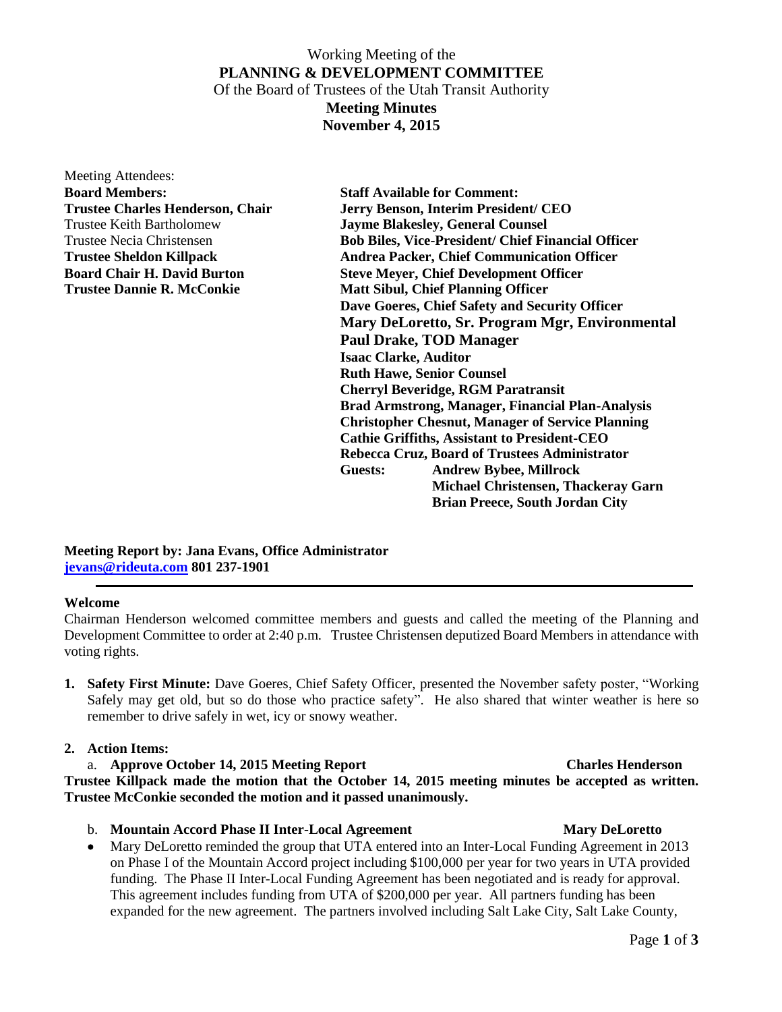## Working Meeting of the **PLANNING & DEVELOPMENT COMMITTEE** Of the Board of Trustees of the Utah Transit Authority **Meeting Minutes November 4, 2015**

Meeting Attendees: **Board Members: Staff Available for Comment:**

**Trustee Charles Henderson, Chair Jerry Benson, Interim President/ CEO**  Trustee Keith Bartholomew **Jayme Blakesley, General Counsel** Trustee Necia Christensen **Bob Biles, Vice-President/ Chief Financial Officer Trustee Sheldon Killpack Andrea Packer, Chief Communication Officer Board Chair H. David Burton Steve Meyer, Chief Development Officer Trustee Dannie R. McConkie Matt Sibul, Chief Planning Officer Dave Goeres, Chief Safety and Security Officer Mary DeLoretto, Sr. Program Mgr, Environmental Paul Drake, TOD Manager Isaac Clarke, Auditor Ruth Hawe, Senior Counsel Cherryl Beveridge, RGM Paratransit Brad Armstrong, Manager, Financial Plan-Analysis Christopher Chesnut, Manager of Service Planning Cathie Griffiths, Assistant to President-CEO Rebecca Cruz, Board of Trustees Administrator Guests: Andrew Bybee, Millrock Michael Christensen, Thackeray Garn Brian Preece, South Jordan City**

**Meeting Report by: Jana Evans, Office Administrator [jevans@rideuta.com](mailto:jevans@rideuta.com) 801 237-1901**

### **Welcome**

Chairman Henderson welcomed committee members and guests and called the meeting of the Planning and Development Committee to order at 2:40 p.m. Trustee Christensen deputized Board Members in attendance with voting rights.

**1. Safety First Minute:** Dave Goeres, Chief Safety Officer, presented the November safety poster, "Working Safely may get old, but so do those who practice safety". He also shared that winter weather is here so remember to drive safely in wet, icy or snowy weather.

### **2. Action Items:**

a. **Approve October 14, 2015 Meeting Report Charles Henderson Trustee Killpack made the motion that the October 14, 2015 meeting minutes be accepted as written. Trustee McConkie seconded the motion and it passed unanimously.**

- b. **Mountain Accord Phase II Inter-Local Agreement** Mary DeLoretto
- Mary DeLoretto reminded the group that UTA entered into an Inter-Local Funding Agreement in 2013 on Phase I of the Mountain Accord project including \$100,000 per year for two years in UTA provided funding. The Phase II Inter-Local Funding Agreement has been negotiated and is ready for approval. This agreement includes funding from UTA of \$200,000 per year. All partners funding has been expanded for the new agreement. The partners involved including Salt Lake City, Salt Lake County,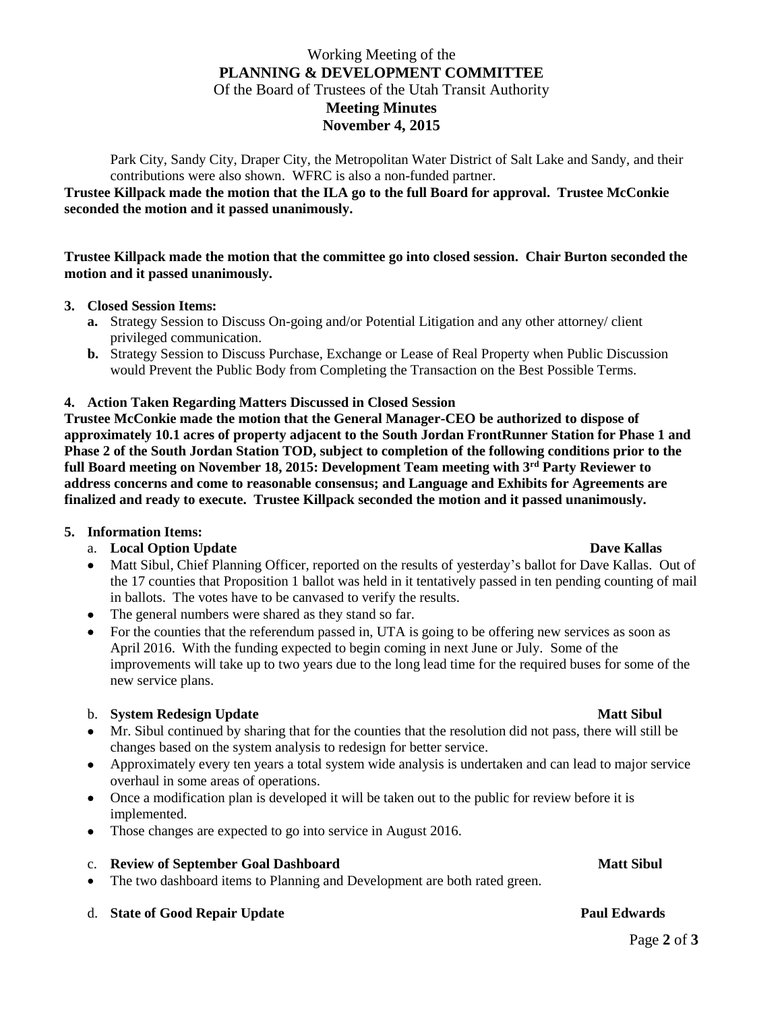# Working Meeting of the **PLANNING & DEVELOPMENT COMMITTEE** Of the Board of Trustees of the Utah Transit Authority **Meeting Minutes November 4, 2015**

Park City, Sandy City, Draper City, the Metropolitan Water District of Salt Lake and Sandy, and their contributions were also shown. WFRC is also a non-funded partner.

## **Trustee Killpack made the motion that the ILA go to the full Board for approval. Trustee McConkie seconded the motion and it passed unanimously.**

### **Trustee Killpack made the motion that the committee go into closed session. Chair Burton seconded the motion and it passed unanimously.**

## **3. Closed Session Items:**

- **a.** Strategy Session to Discuss On-going and/or Potential Litigation and any other attorney/ client privileged communication.
- **b.** Strategy Session to Discuss Purchase, Exchange or Lease of Real Property when Public Discussion would Prevent the Public Body from Completing the Transaction on the Best Possible Terms.

## **4. Action Taken Regarding Matters Discussed in Closed Session**

**Trustee McConkie made the motion that the General Manager-CEO be authorized to dispose of approximately 10.1 acres of property adjacent to the South Jordan FrontRunner Station for Phase 1 and Phase 2 of the South Jordan Station TOD, subject to completion of the following conditions prior to the full Board meeting on November 18, 2015: Development Team meeting with 3rd Party Reviewer to address concerns and come to reasonable consensus; and Language and Exhibits for Agreements are finalized and ready to execute. Trustee Killpack seconded the motion and it passed unanimously.**

### **5. Information Items:**

## a. **Local Option Update Dave Kallas**

- Matt Sibul, Chief Planning Officer, reported on the results of yesterday's ballot for Dave Kallas. Out of the 17 counties that Proposition 1 ballot was held in it tentatively passed in ten pending counting of mail in ballots. The votes have to be canvased to verify the results.
- The general numbers were shared as they stand so far.
- For the counties that the referendum passed in, UTA is going to be offering new services as soon as April 2016. With the funding expected to begin coming in next June or July. Some of the improvements will take up to two years due to the long lead time for the required buses for some of the new service plans.

## b. **System Redesign Update** Matt Sibul

- Mr. Sibul continued by sharing that for the counties that the resolution did not pass, there will still be changes based on the system analysis to redesign for better service.
- Approximately every ten years a total system wide analysis is undertaken and can lead to major service overhaul in some areas of operations.
- Once a modification plan is developed it will be taken out to the public for review before it is implemented.
- Those changes are expected to go into service in August 2016.

### c. **Review of September Goal Dashboard Matt Sibul**

• The two dashboard items to Planning and Development are both rated green.

## d. State of Good Repair Update **Paul Edwards**